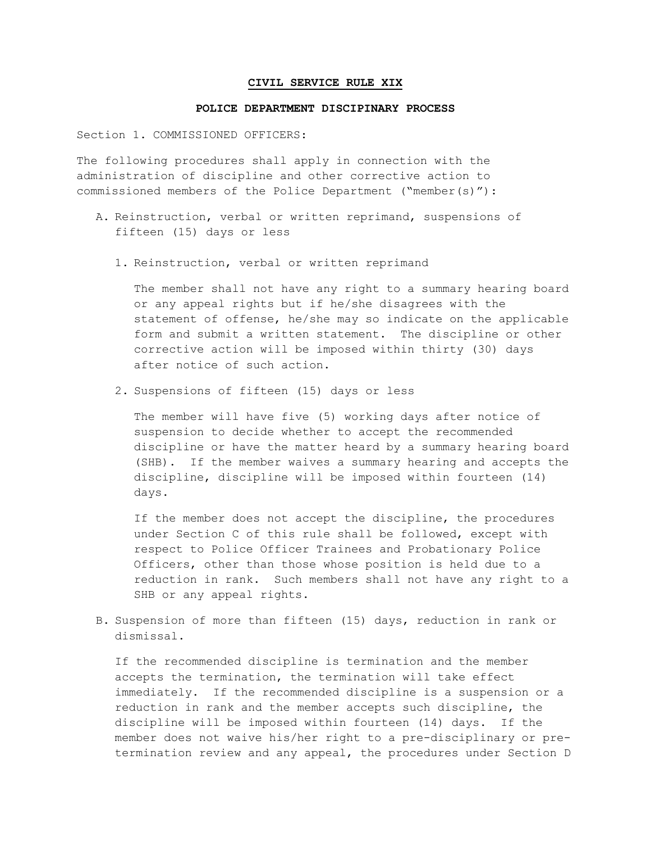## **CIVIL SERVICE RULE XIX**

## **POLICE DEPARTMENT DISCIPINARY PROCESS**

Section 1. COMMISSIONED OFFICERS:

The following procedures shall apply in connection with the administration of discipline and other corrective action to commissioned members of the Police Department ("member(s)"):

- A. Reinstruction, verbal or written reprimand, suspensions of fifteen (15) days or less
	- 1. Reinstruction, verbal or written reprimand

The member shall not have any right to a summary hearing board or any appeal rights but if he/she disagrees with the statement of offense, he/she may so indicate on the applicable form and submit a written statement. The discipline or other corrective action will be imposed within thirty (30) days after notice of such action.

2. Suspensions of fifteen (15) days or less

The member will have five (5) working days after notice of suspension to decide whether to accept the recommended discipline or have the matter heard by a summary hearing board (SHB). If the member waives a summary hearing and accepts the discipline, discipline will be imposed within fourteen (14) days.

If the member does not accept the discipline, the procedures under Section C of this rule shall be followed, except with respect to Police Officer Trainees and Probationary Police Officers, other than those whose position is held due to a reduction in rank. Such members shall not have any right to a SHB or any appeal rights.

B. Suspension of more than fifteen (15) days, reduction in rank or dismissal.

If the recommended discipline is termination and the member accepts the termination, the termination will take effect immediately. If the recommended discipline is a suspension or a reduction in rank and the member accepts such discipline, the discipline will be imposed within fourteen (14) days. If the member does not waive his/her right to a pre-disciplinary or pretermination review and any appeal, the procedures under Section D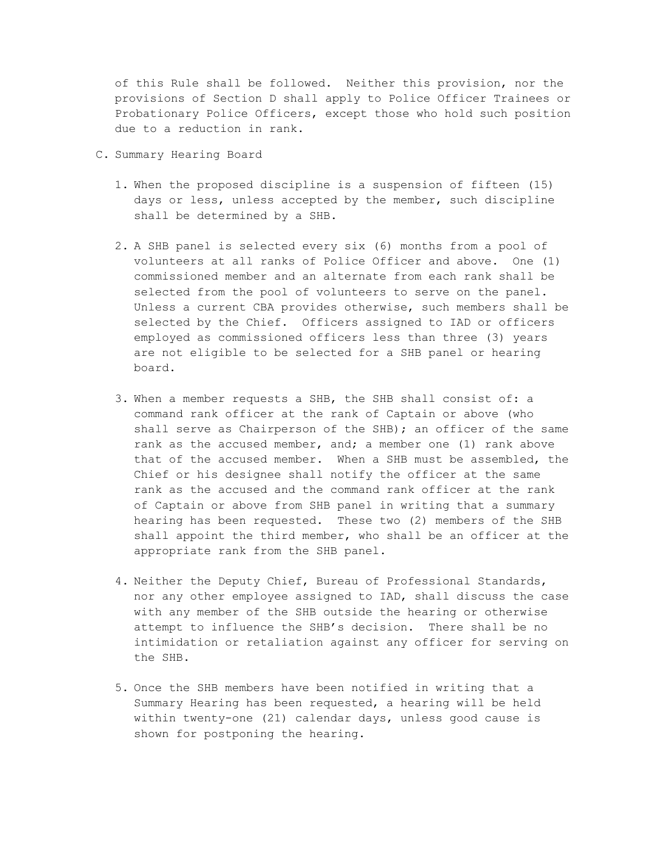of this Rule shall be followed. Neither this provision, nor the provisions of Section D shall apply to Police Officer Trainees or Probationary Police Officers, except those who hold such position due to a reduction in rank.

- C. Summary Hearing Board
	- 1. When the proposed discipline is a suspension of fifteen (15) days or less, unless accepted by the member, such discipline shall be determined by a SHB.
	- 2. A SHB panel is selected every six (6) months from a pool of volunteers at all ranks of Police Officer and above. One (1) commissioned member and an alternate from each rank shall be selected from the pool of volunteers to serve on the panel. Unless a current CBA provides otherwise, such members shall be selected by the Chief. Officers assigned to IAD or officers employed as commissioned officers less than three (3) years are not eligible to be selected for a SHB panel or hearing board.
	- 3. When a member requests a SHB, the SHB shall consist of: a command rank officer at the rank of Captain or above (who shall serve as Chairperson of the SHB); an officer of the same rank as the accused member, and; a member one (1) rank above that of the accused member. When a SHB must be assembled, the Chief or his designee shall notify the officer at the same rank as the accused and the command rank officer at the rank of Captain or above from SHB panel in writing that a summary hearing has been requested. These two (2) members of the SHB shall appoint the third member, who shall be an officer at the appropriate rank from the SHB panel.
	- 4. Neither the Deputy Chief, Bureau of Professional Standards, nor any other employee assigned to IAD, shall discuss the case with any member of the SHB outside the hearing or otherwise attempt to influence the SHB's decision. There shall be no intimidation or retaliation against any officer for serving on the SHB.
	- 5. Once the SHB members have been notified in writing that a Summary Hearing has been requested, a hearing will be held within twenty-one (21) calendar days, unless good cause is shown for postponing the hearing.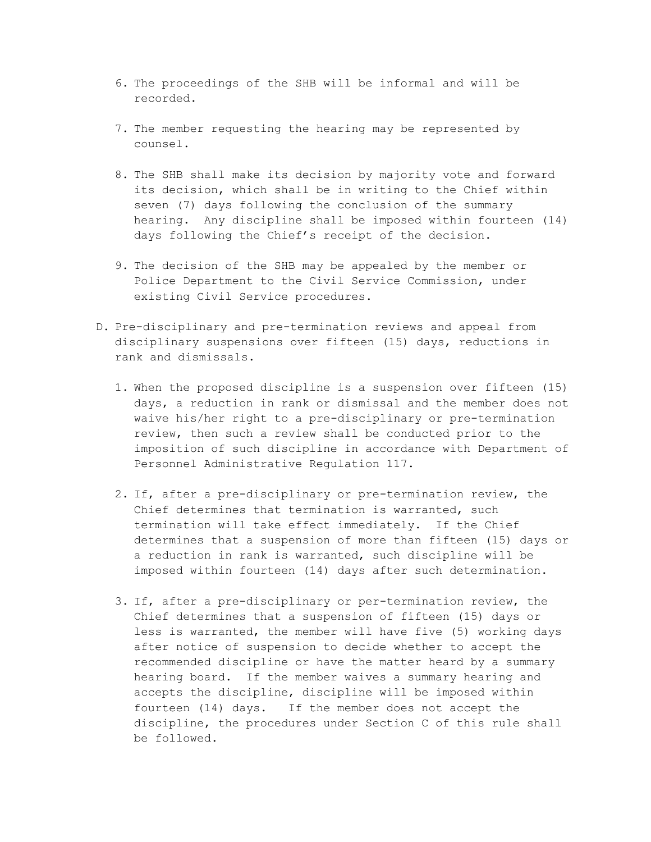- 6. The proceedings of the SHB will be informal and will be recorded.
- 7. The member requesting the hearing may be represented by counsel.
- 8. The SHB shall make its decision by majority vote and forward its decision, which shall be in writing to the Chief within seven (7) days following the conclusion of the summary hearing. Any discipline shall be imposed within fourteen (14) days following the Chief's receipt of the decision.
- 9. The decision of the SHB may be appealed by the member or Police Department to the Civil Service Commission, under existing Civil Service procedures.
- D. Pre-disciplinary and pre-termination reviews and appeal from disciplinary suspensions over fifteen (15) days, reductions in rank and dismissals.
	- 1. When the proposed discipline is a suspension over fifteen (15) days, a reduction in rank or dismissal and the member does not waive his/her right to a pre-disciplinary or pre-termination review, then such a review shall be conducted prior to the imposition of such discipline in accordance with Department of Personnel Administrative Regulation 117.
	- 2. If, after a pre-disciplinary or pre-termination review, the Chief determines that termination is warranted, such termination will take effect immediately. If the Chief determines that a suspension of more than fifteen (15) days or a reduction in rank is warranted, such discipline will be imposed within fourteen (14) days after such determination.
	- 3. If, after a pre-disciplinary or per-termination review, the Chief determines that a suspension of fifteen (15) days or less is warranted, the member will have five (5) working days after notice of suspension to decide whether to accept the recommended discipline or have the matter heard by a summary hearing board. If the member waives a summary hearing and accepts the discipline, discipline will be imposed within fourteen (14) days. If the member does not accept the discipline, the procedures under Section C of this rule shall be followed.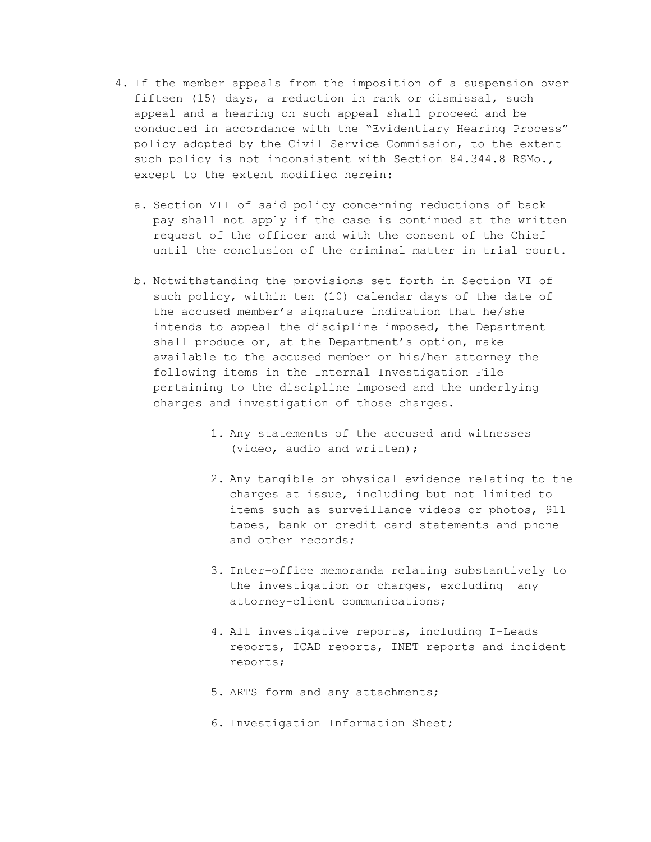- 4. If the member appeals from the imposition of a suspension over fifteen (15) days, a reduction in rank or dismissal, such appeal and a hearing on such appeal shall proceed and be conducted in accordance with the "Evidentiary Hearing Process" policy adopted by the Civil Service Commission, to the extent such policy is not inconsistent with Section 84.344.8 RSMo., except to the extent modified herein:
	- a. Section VII of said policy concerning reductions of back pay shall not apply if the case is continued at the written request of the officer and with the consent of the Chief until the conclusion of the criminal matter in trial court.
	- b. Notwithstanding the provisions set forth in Section VI of such policy, within ten (10) calendar days of the date of the accused member's signature indication that he/she intends to appeal the discipline imposed, the Department shall produce or, at the Department's option, make available to the accused member or his/her attorney the following items in the Internal Investigation File pertaining to the discipline imposed and the underlying charges and investigation of those charges.
		- 1. Any statements of the accused and witnesses (video, audio and written);
		- 2. Any tangible or physical evidence relating to the charges at issue, including but not limited to items such as surveillance videos or photos, 911 tapes, bank or credit card statements and phone and other records;
		- 3. Inter-office memoranda relating substantively to the investigation or charges, excluding any attorney-client communications;
		- 4. All investigative reports, including I-Leads reports, ICAD reports, INET reports and incident reports;
		- 5. ARTS form and any attachments;
		- 6. Investigation Information Sheet;